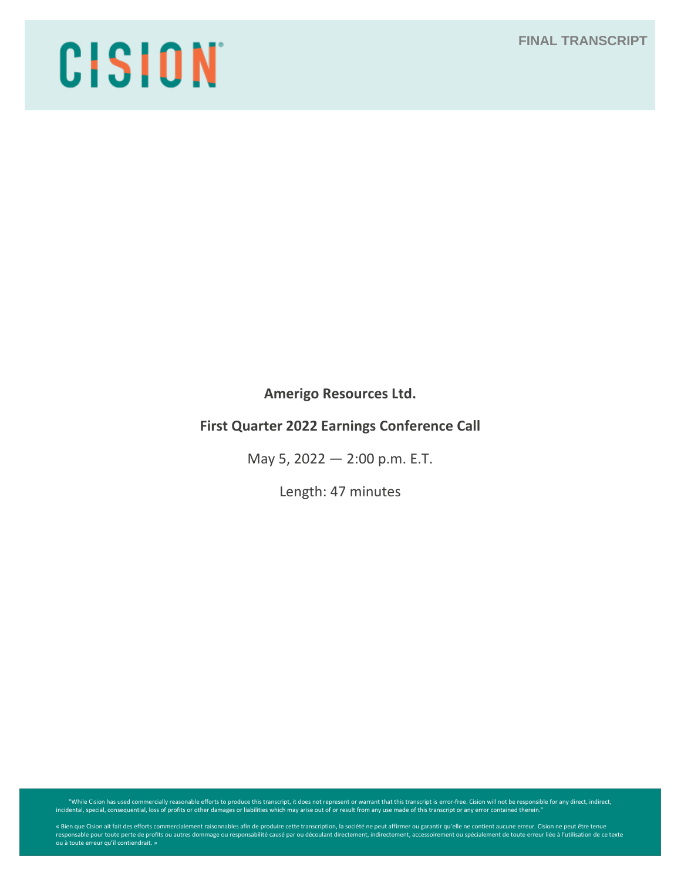**FINAL TRANSCRIPT**

# CISION

**Amerigo Resources Ltd.**

# **First Quarter 2022 Earnings Conference Call**

May 5, 2022 — 2:00 p.m. E.T.

Length: 47 minutes

"While Cision has used commercially reasonable efforts to produce this transcript, it does not represent or warrant that this transcript is error-free. Cision will not be responsible for any direct, indirect, indirect, ind

« Bien que Cision ait fait des efforts commercialement raisonnables afin de produire cette transcription, la société ne peut affirmer ou garantir qu'elle ne contient aucune erreur. Cision ne peut être tenue<br>responsable pou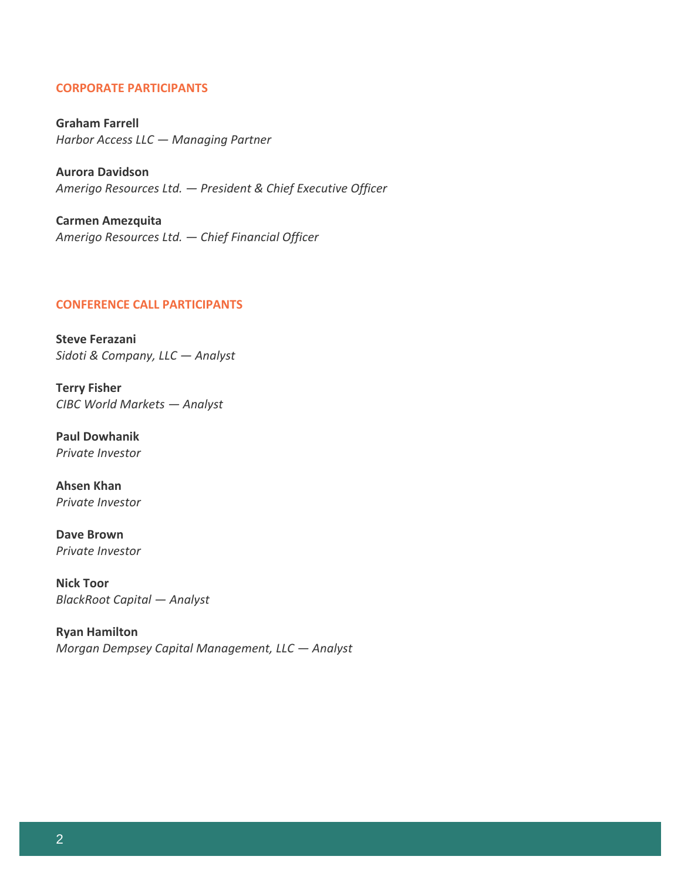# **CORPORATE PARTICIPANTS**

**Graham Farrell** *Harbor Access LLC — Managing Partner*

**Aurora Davidson** *Amerigo Resources Ltd. — President & Chief Executive Officer*

**Carmen Amezquita** *Amerigo Resources Ltd. — Chief Financial Officer*

#### **CONFERENCE CALL PARTICIPANTS**

**Steve Ferazani** *Sidoti & Company, LLC — Analyst*

**Terry Fisher** *CIBC World Markets — Analyst*

**Paul Dowhanik** *Private Investor*

**Ahsen Khan** *Private Investor*

**Dave Brown** *Private Investor*

**Nick Toor** *BlackRoot Capital — Analyst*

**Ryan Hamilton** *Morgan Dempsey Capital Management, LLC — Analyst*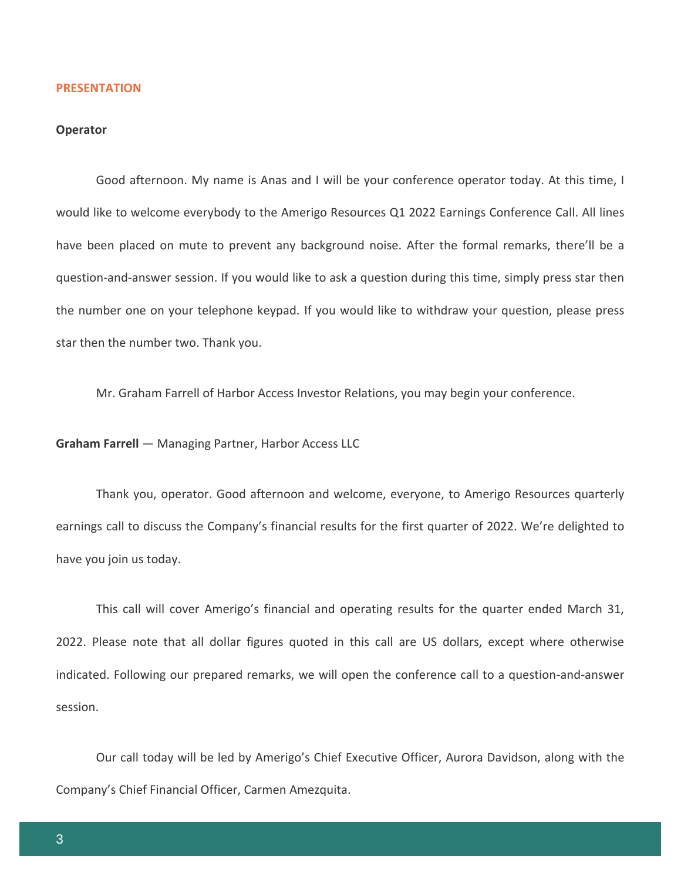#### **PRESENTATION**

# **Operator**

Good afternoon. My name is Anas and I will be your conference operator today. At this time, I would like to welcome everybody to the Amerigo Resources Q1 2022 Earnings Conference Call. All lines have been placed on mute to prevent any background noise. After the formal remarks, there'll be a question-and-answer session. If you would like to ask a question during this time, simply press star then the number one on your telephone keypad. If you would like to withdraw your question, please press star then the number two. Thank you.

Mr. Graham Farrell of Harbor Access Investor Relations, you may begin your conference.

**Graham Farrell** — Managing Partner, Harbor Access LLC

Thank you, operator. Good afternoon and welcome, everyone, to Amerigo Resources quarterly earnings call to discuss the Company's financial results for the first quarter of 2022. We're delighted to have you join us today.

This call will cover Amerigo's financial and operating results for the quarter ended March 31, 2022. Please note that all dollar figures quoted in this call are US dollars, except where otherwise indicated. Following our prepared remarks, we will open the conference call to a question-and-answer session.

Our call today will be led by Amerigo's Chief Executive Officer, Aurora Davidson, along with the Company's Chief Financial Officer, Carmen Amezquita.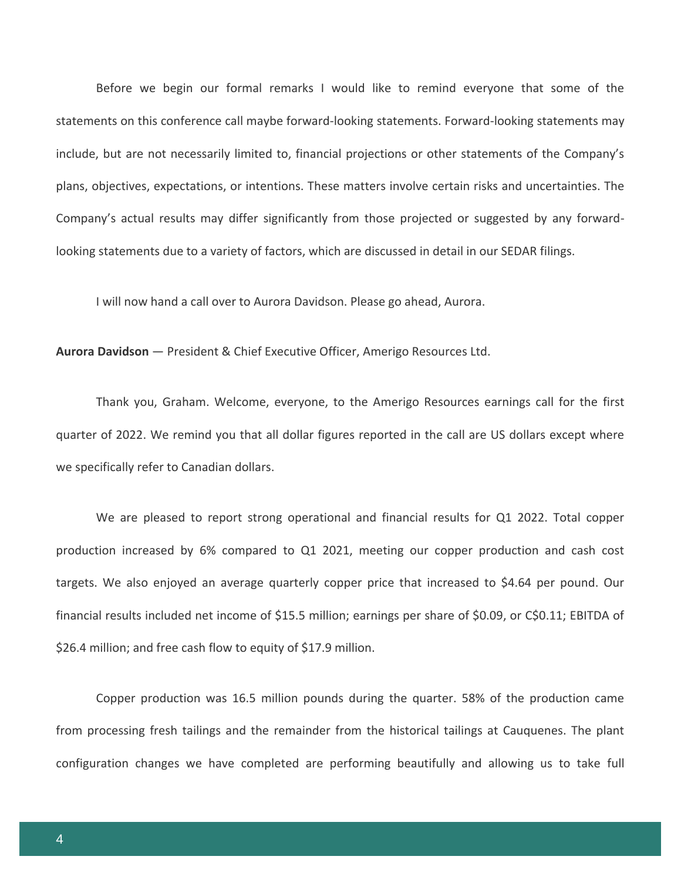Before we begin our formal remarks I would like to remind everyone that some of the statements on this conference call maybe forward-looking statements. Forward-looking statements may include, but are not necessarily limited to, financial projections or other statements of the Company's plans, objectives, expectations, or intentions. These matters involve certain risks and uncertainties. The Company's actual results may differ significantly from those projected or suggested by any forwardlooking statements due to a variety of factors, which are discussed in detail in our SEDAR filings.

I will now hand a call over to Aurora Davidson. Please go ahead, Aurora.

**Aurora Davidson** — President & Chief Executive Officer, Amerigo Resources Ltd.

Thank you, Graham. Welcome, everyone, to the Amerigo Resources earnings call for the first quarter of 2022. We remind you that all dollar figures reported in the call are US dollars except where we specifically refer to Canadian dollars.

We are pleased to report strong operational and financial results for Q1 2022. Total copper production increased by 6% compared to Q1 2021, meeting our copper production and cash cost targets. We also enjoyed an average quarterly copper price that increased to \$4.64 per pound. Our financial results included net income of \$15.5 million; earnings per share of \$0.09, or C\$0.11; EBITDA of \$26.4 million; and free cash flow to equity of \$17.9 million.

Copper production was 16.5 million pounds during the quarter. 58% of the production came from processing fresh tailings and the remainder from the historical tailings at Cauquenes. The plant configuration changes we have completed are performing beautifully and allowing us to take full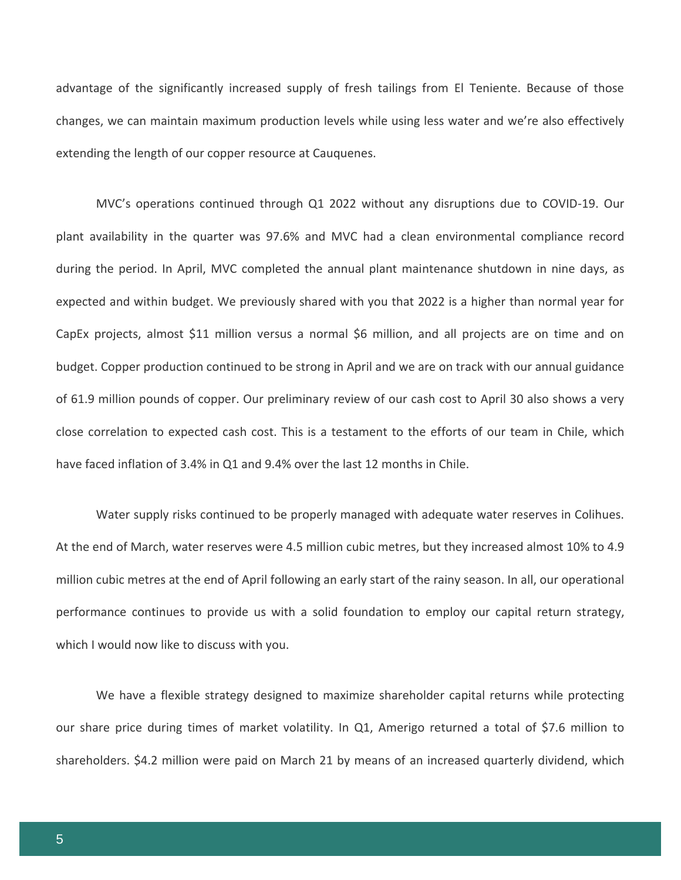advantage of the significantly increased supply of fresh tailings from El Teniente. Because of those changes, we can maintain maximum production levels while using less water and we're also effectively extending the length of our copper resource at Cauquenes.

MVC's operations continued through Q1 2022 without any disruptions due to COVID-19. Our plant availability in the quarter was 97.6% and MVC had a clean environmental compliance record during the period. In April, MVC completed the annual plant maintenance shutdown in nine days, as expected and within budget. We previously shared with you that 2022 is a higher than normal year for CapEx projects, almost \$11 million versus a normal \$6 million, and all projects are on time and on budget. Copper production continued to be strong in April and we are on track with our annual guidance of 61.9 million pounds of copper. Our preliminary review of our cash cost to April 30 also shows a very close correlation to expected cash cost. This is a testament to the efforts of our team in Chile, which have faced inflation of 3.4% in Q1 and 9.4% over the last 12 months in Chile.

Water supply risks continued to be properly managed with adequate water reserves in Colihues. At the end of March, water reserves were 4.5 million cubic metres, but they increased almost 10% to 4.9 million cubic metres at the end of April following an early start of the rainy season. In all, our operational performance continues to provide us with a solid foundation to employ our capital return strategy, which I would now like to discuss with you.

We have a flexible strategy designed to maximize shareholder capital returns while protecting our share price during times of market volatility. In Q1, Amerigo returned a total of \$7.6 million to shareholders. \$4.2 million were paid on March 21 by means of an increased quarterly dividend, which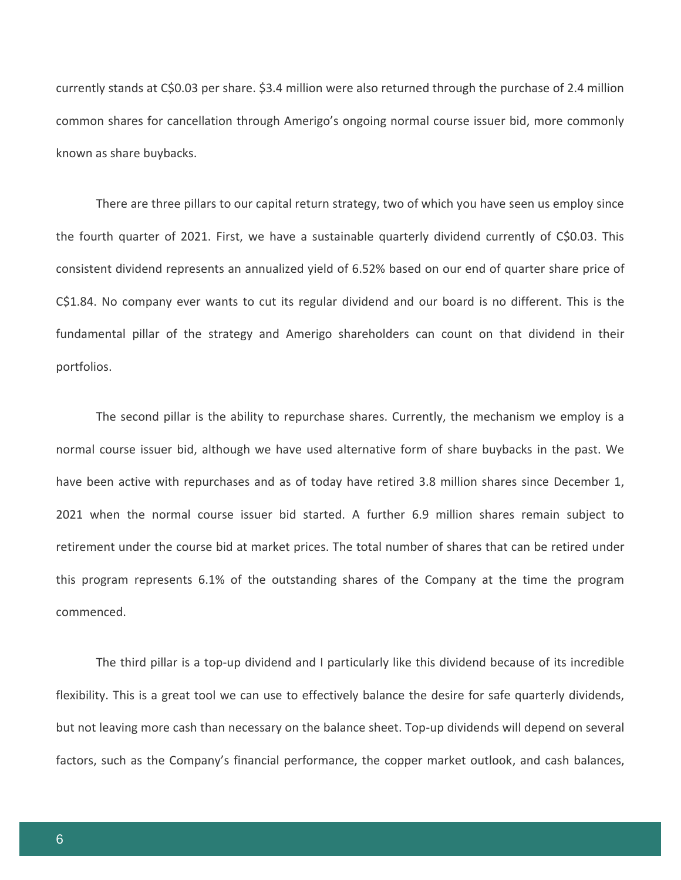currently stands at C\$0.03 per share. \$3.4 million were also returned through the purchase of 2.4 million common shares for cancellation through Amerigo's ongoing normal course issuer bid, more commonly known as share buybacks.

There are three pillars to our capital return strategy, two of which you have seen us employ since the fourth quarter of 2021. First, we have a sustainable quarterly dividend currently of C\$0.03. This consistent dividend represents an annualized yield of 6.52% based on our end of quarter share price of C\$1.84. No company ever wants to cut its regular dividend and our board is no different. This is the fundamental pillar of the strategy and Amerigo shareholders can count on that dividend in their portfolios.

The second pillar is the ability to repurchase shares. Currently, the mechanism we employ is a normal course issuer bid, although we have used alternative form of share buybacks in the past. We have been active with repurchases and as of today have retired 3.8 million shares since December 1, 2021 when the normal course issuer bid started. A further 6.9 million shares remain subject to retirement under the course bid at market prices. The total number of shares that can be retired under this program represents 6.1% of the outstanding shares of the Company at the time the program commenced.

The third pillar is a top-up dividend and I particularly like this dividend because of its incredible flexibility. This is a great tool we can use to effectively balance the desire for safe quarterly dividends, but not leaving more cash than necessary on the balance sheet. Top-up dividends will depend on several factors, such as the Company's financial performance, the copper market outlook, and cash balances,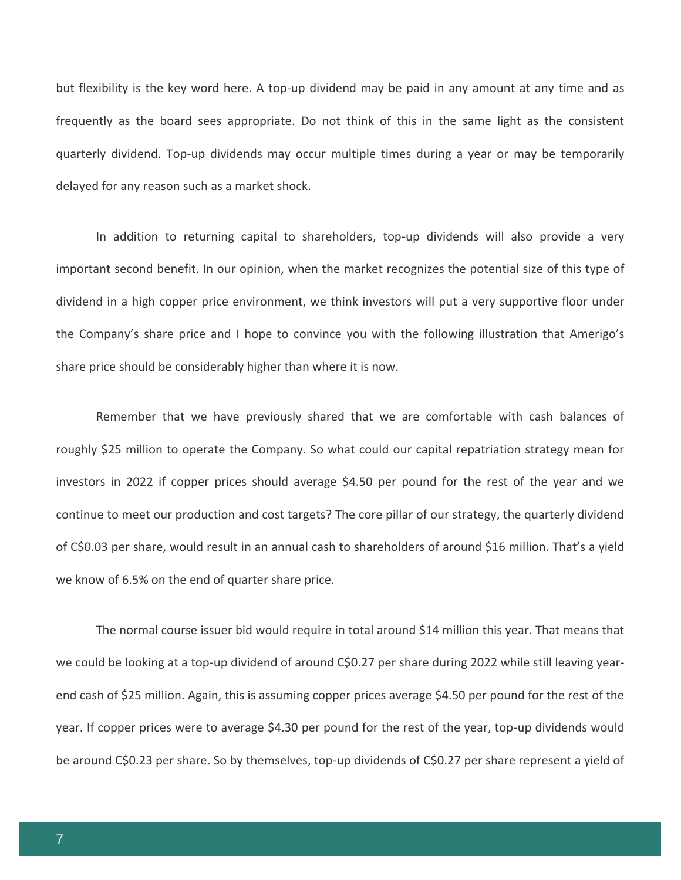but flexibility is the key word here. A top-up dividend may be paid in any amount at any time and as frequently as the board sees appropriate. Do not think of this in the same light as the consistent quarterly dividend. Top-up dividends may occur multiple times during a year or may be temporarily delayed for any reason such as a market shock.

In addition to returning capital to shareholders, top-up dividends will also provide a very important second benefit. In our opinion, when the market recognizes the potential size of this type of dividend in a high copper price environment, we think investors will put a very supportive floor under the Company's share price and I hope to convince you with the following illustration that Amerigo's share price should be considerably higher than where it is now.

Remember that we have previously shared that we are comfortable with cash balances of roughly \$25 million to operate the Company. So what could our capital repatriation strategy mean for investors in 2022 if copper prices should average \$4.50 per pound for the rest of the year and we continue to meet our production and cost targets? The core pillar of our strategy, the quarterly dividend of C\$0.03 per share, would result in an annual cash to shareholders of around \$16 million. That's a yield we know of 6.5% on the end of quarter share price.

The normal course issuer bid would require in total around \$14 million this year. That means that we could be looking at a top-up dividend of around C\$0.27 per share during 2022 while still leaving yearend cash of \$25 million. Again, this is assuming copper prices average \$4.50 per pound for the rest of the year. If copper prices were to average \$4.30 per pound for the rest of the year, top-up dividends would be around C\$0.23 per share. So by themselves, top-up dividends of C\$0.27 per share represent a yield of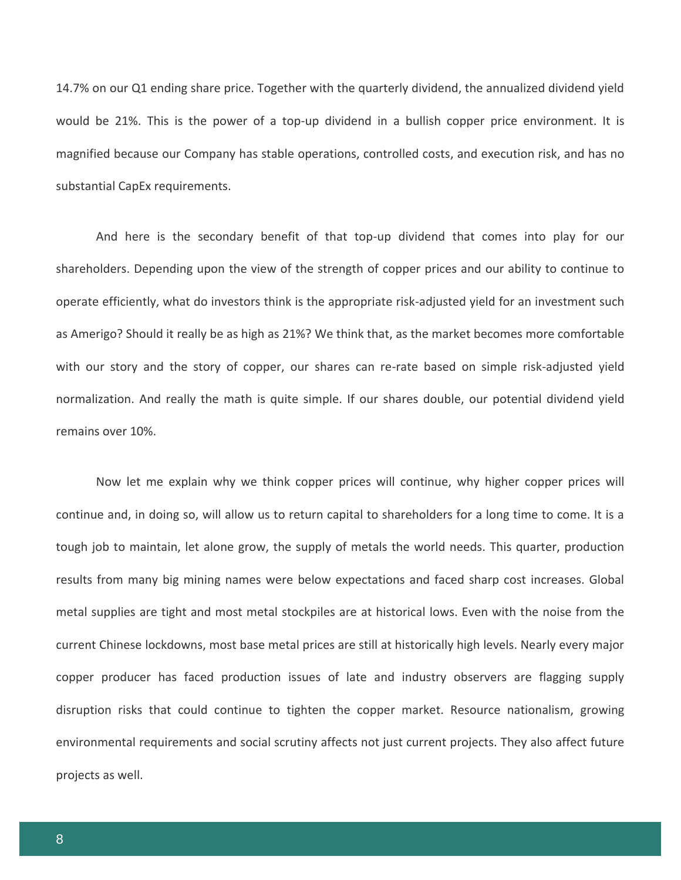14.7% on our Q1 ending share price. Together with the quarterly dividend, the annualized dividend yield would be 21%. This is the power of a top-up dividend in a bullish copper price environment. It is magnified because our Company has stable operations, controlled costs, and execution risk, and has no substantial CapEx requirements.

And here is the secondary benefit of that top-up dividend that comes into play for our shareholders. Depending upon the view of the strength of copper prices and our ability to continue to operate efficiently, what do investors think is the appropriate risk-adjusted yield for an investment such as Amerigo? Should it really be as high as 21%? We think that, as the market becomes more comfortable with our story and the story of copper, our shares can re-rate based on simple risk-adjusted yield normalization. And really the math is quite simple. If our shares double, our potential dividend yield remains over 10%.

Now let me explain why we think copper prices will continue, why higher copper prices will continue and, in doing so, will allow us to return capital to shareholders for a long time to come. It is a tough job to maintain, let alone grow, the supply of metals the world needs. This quarter, production results from many big mining names were below expectations and faced sharp cost increases. Global metal supplies are tight and most metal stockpiles are at historical lows. Even with the noise from the current Chinese lockdowns, most base metal prices are still at historically high levels. Nearly every major copper producer has faced production issues of late and industry observers are flagging supply disruption risks that could continue to tighten the copper market. Resource nationalism, growing environmental requirements and social scrutiny affects not just current projects. They also affect future projects as well.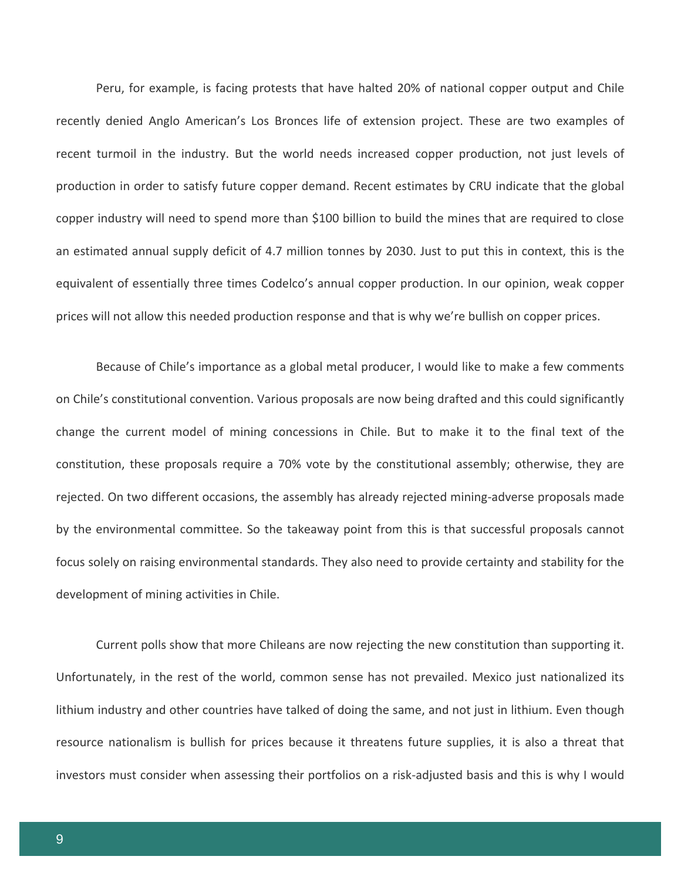Peru, for example, is facing protests that have halted 20% of national copper output and Chile recently denied Anglo American's Los Bronces life of extension project. These are two examples of recent turmoil in the industry. But the world needs increased copper production, not just levels of production in order to satisfy future copper demand. Recent estimates by CRU indicate that the global copper industry will need to spend more than \$100 billion to build the mines that are required to close an estimated annual supply deficit of 4.7 million tonnes by 2030. Just to put this in context, this is the equivalent of essentially three times Codelco's annual copper production. In our opinion, weak copper prices will not allow this needed production response and that is why we're bullish on copper prices.

Because of Chile's importance as a global metal producer, I would like to make a few comments on Chile's constitutional convention. Various proposals are now being drafted and this could significantly change the current model of mining concessions in Chile. But to make it to the final text of the constitution, these proposals require a 70% vote by the constitutional assembly; otherwise, they are rejected. On two different occasions, the assembly has already rejected mining-adverse proposals made by the environmental committee. So the takeaway point from this is that successful proposals cannot focus solely on raising environmental standards. They also need to provide certainty and stability for the development of mining activities in Chile.

Current polls show that more Chileans are now rejecting the new constitution than supporting it. Unfortunately, in the rest of the world, common sense has not prevailed. Mexico just nationalized its lithium industry and other countries have talked of doing the same, and not just in lithium. Even though resource nationalism is bullish for prices because it threatens future supplies, it is also a threat that investors must consider when assessing their portfolios on a risk-adjusted basis and this is why I would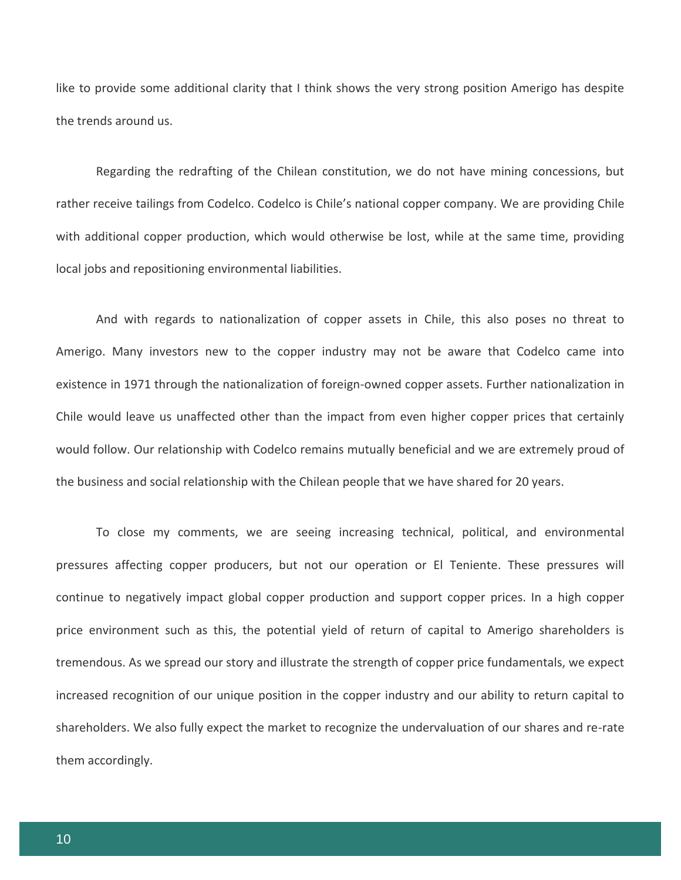like to provide some additional clarity that I think shows the very strong position Amerigo has despite the trends around us.

Regarding the redrafting of the Chilean constitution, we do not have mining concessions, but rather receive tailings from Codelco. Codelco is Chile's national copper company. We are providing Chile with additional copper production, which would otherwise be lost, while at the same time, providing local jobs and repositioning environmental liabilities.

And with regards to nationalization of copper assets in Chile, this also poses no threat to Amerigo. Many investors new to the copper industry may not be aware that Codelco came into existence in 1971 through the nationalization of foreign-owned copper assets. Further nationalization in Chile would leave us unaffected other than the impact from even higher copper prices that certainly would follow. Our relationship with Codelco remains mutually beneficial and we are extremely proud of the business and social relationship with the Chilean people that we have shared for 20 years.

To close my comments, we are seeing increasing technical, political, and environmental pressures affecting copper producers, but not our operation or El Teniente. These pressures will continue to negatively impact global copper production and support copper prices. In a high copper price environment such as this, the potential yield of return of capital to Amerigo shareholders is tremendous. As we spread our story and illustrate the strength of copper price fundamentals, we expect increased recognition of our unique position in the copper industry and our ability to return capital to shareholders. We also fully expect the market to recognize the undervaluation of our shares and re-rate them accordingly.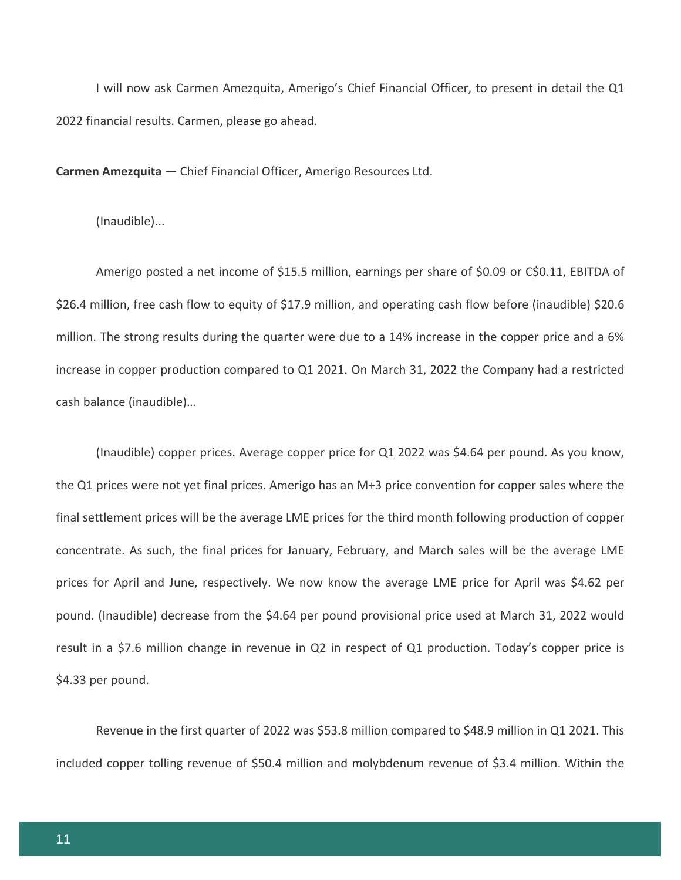I will now ask Carmen Amezquita, Amerigo's Chief Financial Officer, to present in detail the Q1 2022 financial results. Carmen, please go ahead.

**Carmen Amezquita** — Chief Financial Officer, Amerigo Resources Ltd.

(Inaudible)...

Amerigo posted a net income of \$15.5 million, earnings per share of \$0.09 or C\$0.11, EBITDA of \$26.4 million, free cash flow to equity of \$17.9 million, and operating cash flow before (inaudible) \$20.6 million. The strong results during the quarter were due to a 14% increase in the copper price and a 6% increase in copper production compared to Q1 2021. On March 31, 2022 the Company had a restricted cash balance (inaudible)…

(Inaudible) copper prices. Average copper price for Q1 2022 was \$4.64 per pound. As you know, the Q1 prices were not yet final prices. Amerigo has an M+3 price convention for copper sales where the final settlement prices will be the average LME prices for the third month following production of copper concentrate. As such, the final prices for January, February, and March sales will be the average LME prices for April and June, respectively. We now know the average LME price for April was \$4.62 per pound. (Inaudible) decrease from the \$4.64 per pound provisional price used at March 31, 2022 would result in a \$7.6 million change in revenue in Q2 in respect of Q1 production. Today's copper price is \$4.33 per pound.

Revenue in the first quarter of 2022 was \$53.8 million compared to \$48.9 million in Q1 2021. This included copper tolling revenue of \$50.4 million and molybdenum revenue of \$3.4 million. Within the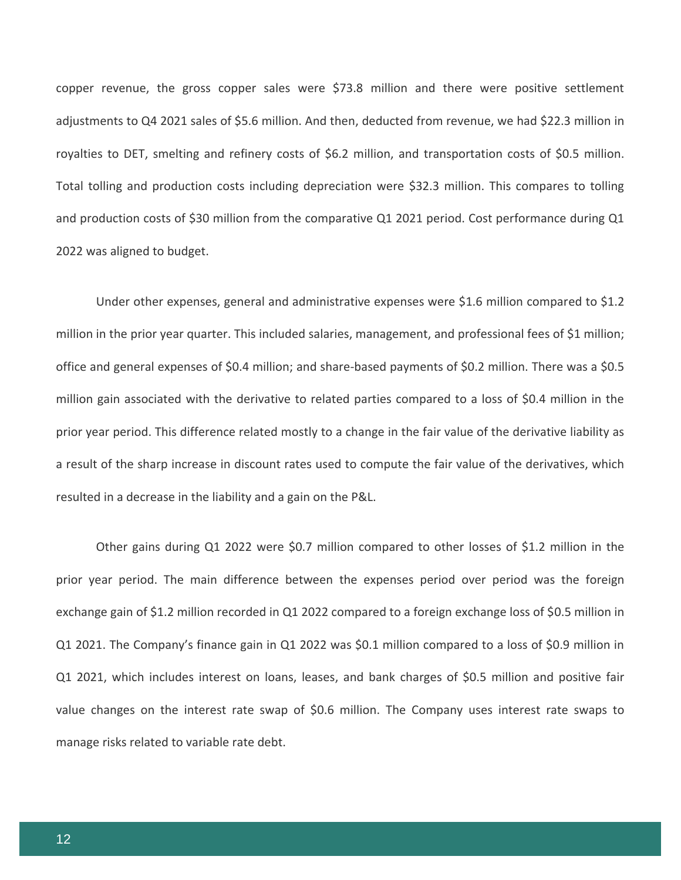copper revenue, the gross copper sales were \$73.8 million and there were positive settlement adjustments to Q4 2021 sales of \$5.6 million. And then, deducted from revenue, we had \$22.3 million in royalties to DET, smelting and refinery costs of \$6.2 million, and transportation costs of \$0.5 million. Total tolling and production costs including depreciation were \$32.3 million. This compares to tolling and production costs of \$30 million from the comparative Q1 2021 period. Cost performance during Q1 2022 was aligned to budget.

Under other expenses, general and administrative expenses were \$1.6 million compared to \$1.2 million in the prior year quarter. This included salaries, management, and professional fees of \$1 million; office and general expenses of \$0.4 million; and share-based payments of \$0.2 million. There was a \$0.5 million gain associated with the derivative to related parties compared to a loss of \$0.4 million in the prior year period. This difference related mostly to a change in the fair value of the derivative liability as a result of the sharp increase in discount rates used to compute the fair value of the derivatives, which resulted in a decrease in the liability and a gain on the P&L.

Other gains during Q1 2022 were \$0.7 million compared to other losses of \$1.2 million in the prior year period. The main difference between the expenses period over period was the foreign exchange gain of \$1.2 million recorded in Q1 2022 compared to a foreign exchange loss of \$0.5 million in Q1 2021. The Company's finance gain in Q1 2022 was \$0.1 million compared to a loss of \$0.9 million in Q1 2021, which includes interest on loans, leases, and bank charges of \$0.5 million and positive fair value changes on the interest rate swap of \$0.6 million. The Company uses interest rate swaps to manage risks related to variable rate debt.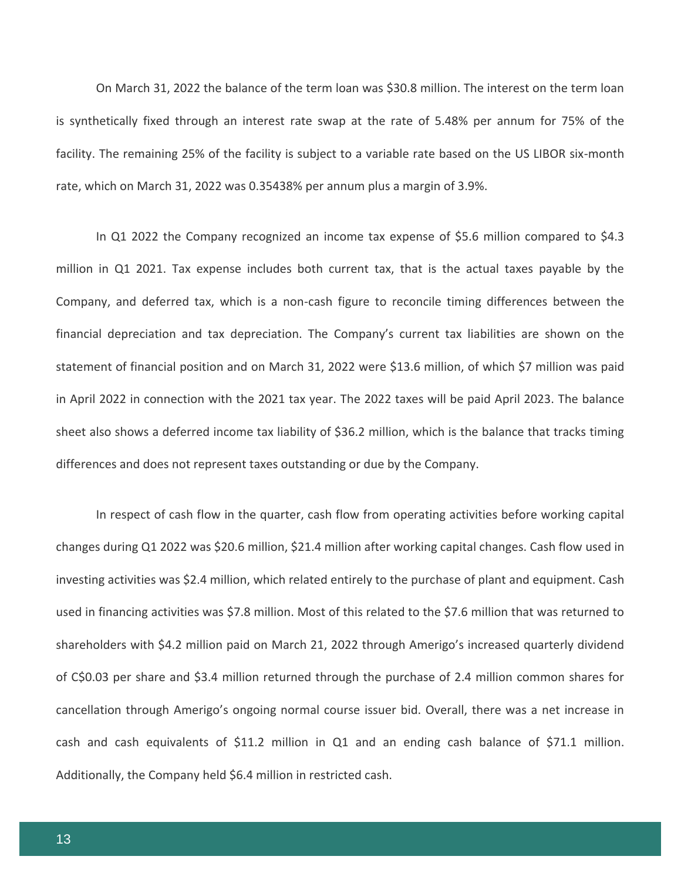On March 31, 2022 the balance of the term loan was \$30.8 million. The interest on the term loan is synthetically fixed through an interest rate swap at the rate of 5.48% per annum for 75% of the facility. The remaining 25% of the facility is subject to a variable rate based on the US LIBOR six-month rate, which on March 31, 2022 was 0.35438% per annum plus a margin of 3.9%.

In Q1 2022 the Company recognized an income tax expense of \$5.6 million compared to \$4.3 million in Q1 2021. Tax expense includes both current tax, that is the actual taxes payable by the Company, and deferred tax, which is a non-cash figure to reconcile timing differences between the financial depreciation and tax depreciation. The Company's current tax liabilities are shown on the statement of financial position and on March 31, 2022 were \$13.6 million, of which \$7 million was paid in April 2022 in connection with the 2021 tax year. The 2022 taxes will be paid April 2023. The balance sheet also shows a deferred income tax liability of \$36.2 million, which is the balance that tracks timing differences and does not represent taxes outstanding or due by the Company.

In respect of cash flow in the quarter, cash flow from operating activities before working capital changes during Q1 2022 was \$20.6 million, \$21.4 million after working capital changes. Cash flow used in investing activities was \$2.4 million, which related entirely to the purchase of plant and equipment. Cash used in financing activities was \$7.8 million. Most of this related to the \$7.6 million that was returned to shareholders with \$4.2 million paid on March 21, 2022 through Amerigo's increased quarterly dividend of C\$0.03 per share and \$3.4 million returned through the purchase of 2.4 million common shares for cancellation through Amerigo's ongoing normal course issuer bid. Overall, there was a net increase in cash and cash equivalents of \$11.2 million in Q1 and an ending cash balance of \$71.1 million. Additionally, the Company held \$6.4 million in restricted cash.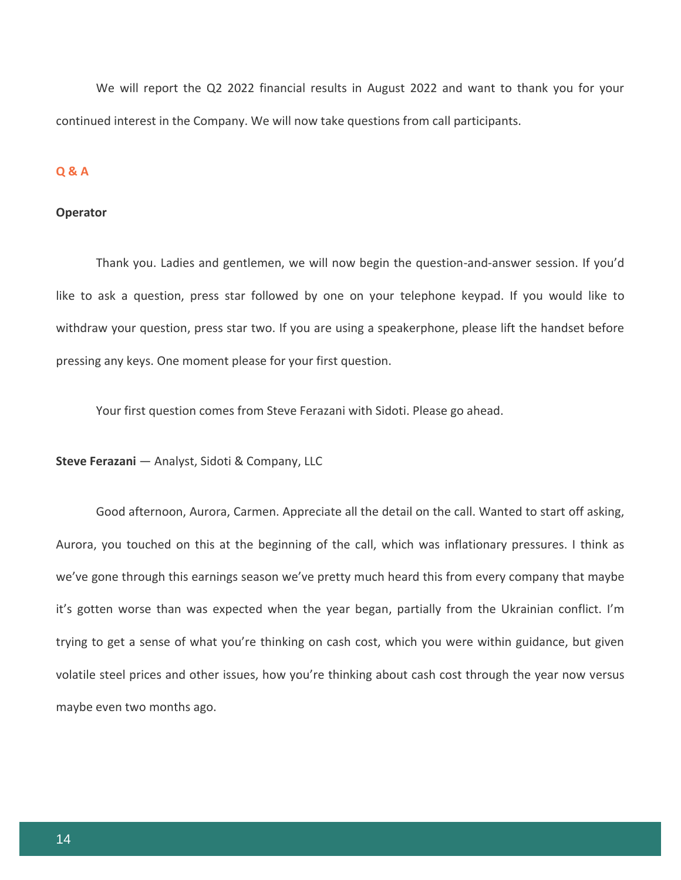We will report the Q2 2022 financial results in August 2022 and want to thank you for your continued interest in the Company. We will now take questions from call participants.

# **Q & A**

#### **Operator**

Thank you. Ladies and gentlemen, we will now begin the question-and-answer session. If you'd like to ask a question, press star followed by one on your telephone keypad. If you would like to withdraw your question, press star two. If you are using a speakerphone, please lift the handset before pressing any keys. One moment please for your first question.

Your first question comes from Steve Ferazani with Sidoti. Please go ahead.

**Steve Ferazani** — Analyst, Sidoti & Company, LLC

Good afternoon, Aurora, Carmen. Appreciate all the detail on the call. Wanted to start off asking, Aurora, you touched on this at the beginning of the call, which was inflationary pressures. I think as we've gone through this earnings season we've pretty much heard this from every company that maybe it's gotten worse than was expected when the year began, partially from the Ukrainian conflict. I'm trying to get a sense of what you're thinking on cash cost, which you were within guidance, but given volatile steel prices and other issues, how you're thinking about cash cost through the year now versus maybe even two months ago.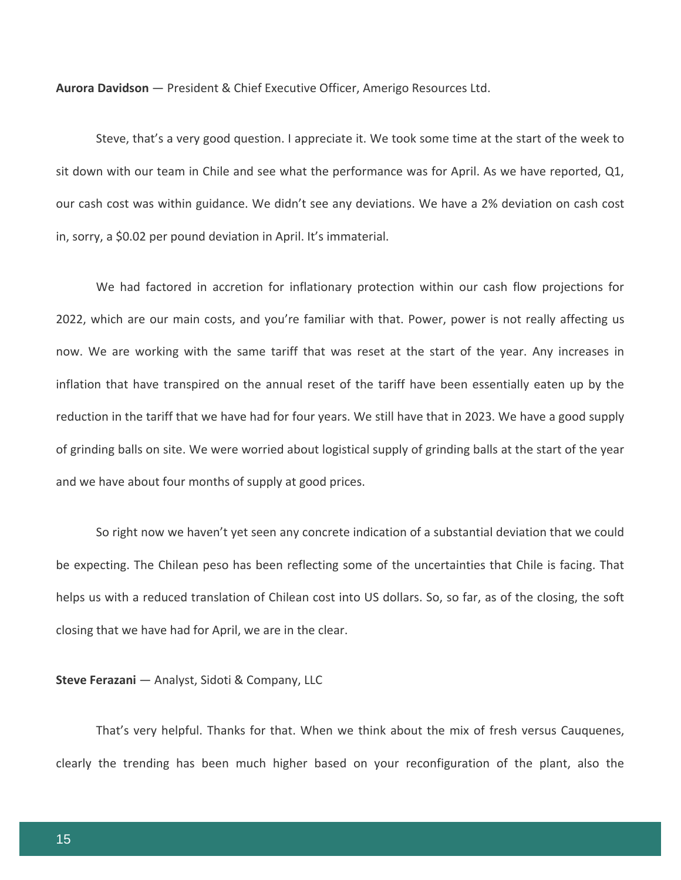Steve, that's a very good question. I appreciate it. We took some time at the start of the week to sit down with our team in Chile and see what the performance was for April. As we have reported, Q1, our cash cost was within guidance. We didn't see any deviations. We have a 2% deviation on cash cost in, sorry, a \$0.02 per pound deviation in April. It's immaterial.

We had factored in accretion for inflationary protection within our cash flow projections for 2022, which are our main costs, and you're familiar with that. Power, power is not really affecting us now. We are working with the same tariff that was reset at the start of the year. Any increases in inflation that have transpired on the annual reset of the tariff have been essentially eaten up by the reduction in the tariff that we have had for four years. We still have that in 2023. We have a good supply of grinding balls on site. We were worried about logistical supply of grinding balls at the start of the year and we have about four months of supply at good prices.

So right now we haven't yet seen any concrete indication of a substantial deviation that we could be expecting. The Chilean peso has been reflecting some of the uncertainties that Chile is facing. That helps us with a reduced translation of Chilean cost into US dollars. So, so far, as of the closing, the soft closing that we have had for April, we are in the clear.

**Steve Ferazani** — Analyst, Sidoti & Company, LLC

That's very helpful. Thanks for that. When we think about the mix of fresh versus Cauquenes, clearly the trending has been much higher based on your reconfiguration of the plant, also the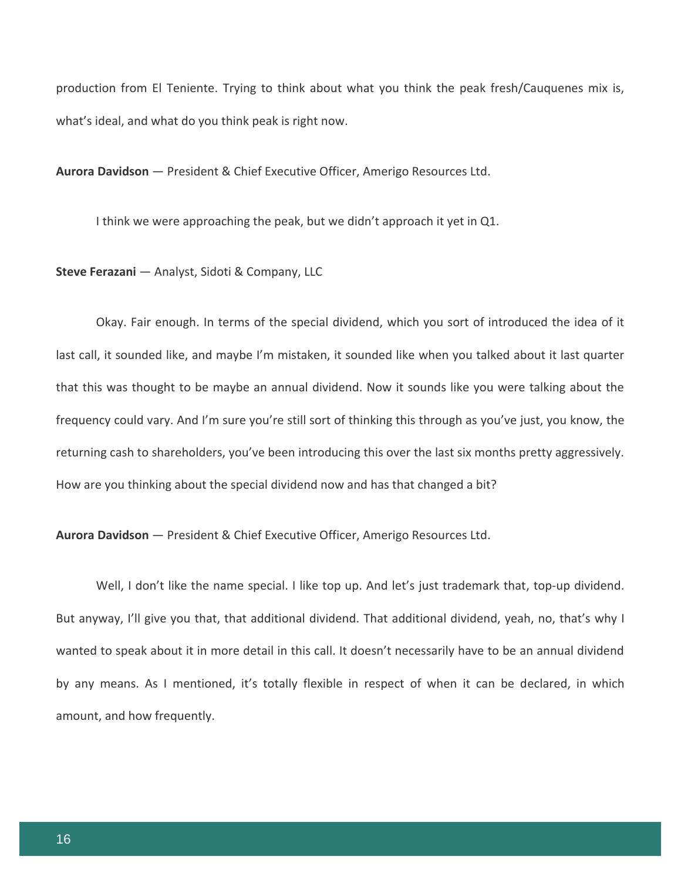production from El Teniente. Trying to think about what you think the peak fresh/Cauquenes mix is, what's ideal, and what do you think peak is right now.

**Aurora Davidson** — President & Chief Executive Officer, Amerigo Resources Ltd.

I think we were approaching the peak, but we didn't approach it yet in Q1.

**Steve Ferazani** — Analyst, Sidoti & Company, LLC

Okay. Fair enough. In terms of the special dividend, which you sort of introduced the idea of it last call, it sounded like, and maybe I'm mistaken, it sounded like when you talked about it last quarter that this was thought to be maybe an annual dividend. Now it sounds like you were talking about the frequency could vary. And I'm sure you're still sort of thinking this through as you've just, you know, the returning cash to shareholders, you've been introducing this over the last six months pretty aggressively. How are you thinking about the special dividend now and has that changed a bit?

**Aurora Davidson** — President & Chief Executive Officer, Amerigo Resources Ltd.

Well, I don't like the name special. I like top up. And let's just trademark that, top-up dividend. But anyway, I'll give you that, that additional dividend. That additional dividend, yeah, no, that's why I wanted to speak about it in more detail in this call. It doesn't necessarily have to be an annual dividend by any means. As I mentioned, it's totally flexible in respect of when it can be declared, in which amount, and how frequently.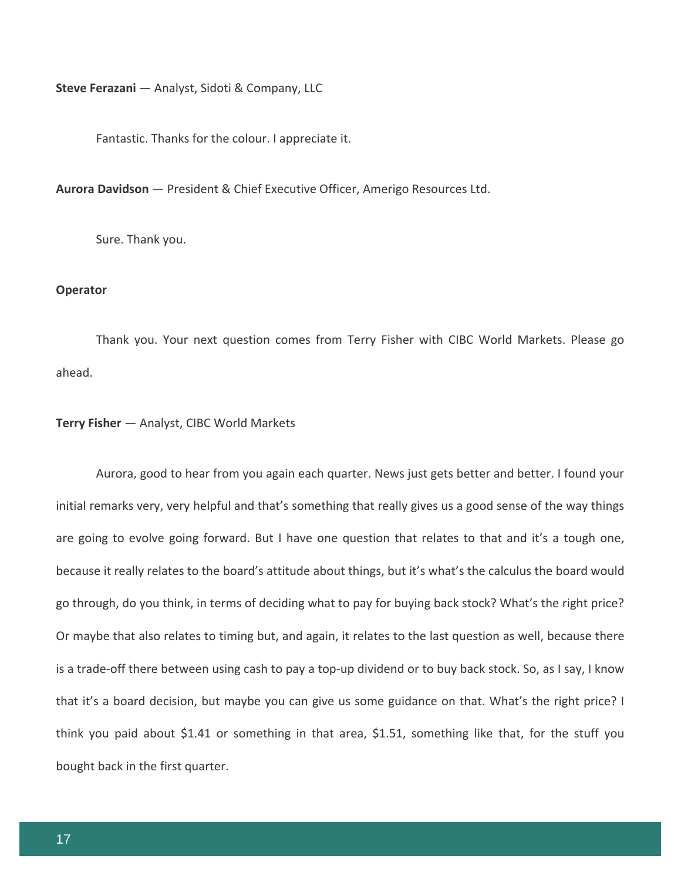**Steve Ferazani** — Analyst, Sidoti & Company, LLC

Fantastic. Thanks for the colour. I appreciate it.

**Aurora Davidson** — President & Chief Executive Officer, Amerigo Resources Ltd.

Sure. Thank you.

#### **Operator**

Thank you. Your next question comes from Terry Fisher with CIBC World Markets. Please go ahead.

# **Terry Fisher** — Analyst, CIBC World Markets

Aurora, good to hear from you again each quarter. News just gets better and better. I found your initial remarks very, very helpful and that's something that really gives us a good sense of the way things are going to evolve going forward. But I have one question that relates to that and it's a tough one, because it really relates to the board's attitude about things, but it's what's the calculus the board would go through, do you think, in terms of deciding what to pay for buying back stock? What's the right price? Or maybe that also relates to timing but, and again, it relates to the last question as well, because there is a trade-off there between using cash to pay a top-up dividend or to buy back stock. So, as I say, I know that it's a board decision, but maybe you can give us some guidance on that. What's the right price? I think you paid about \$1.41 or something in that area, \$1.51, something like that, for the stuff you bought back in the first quarter.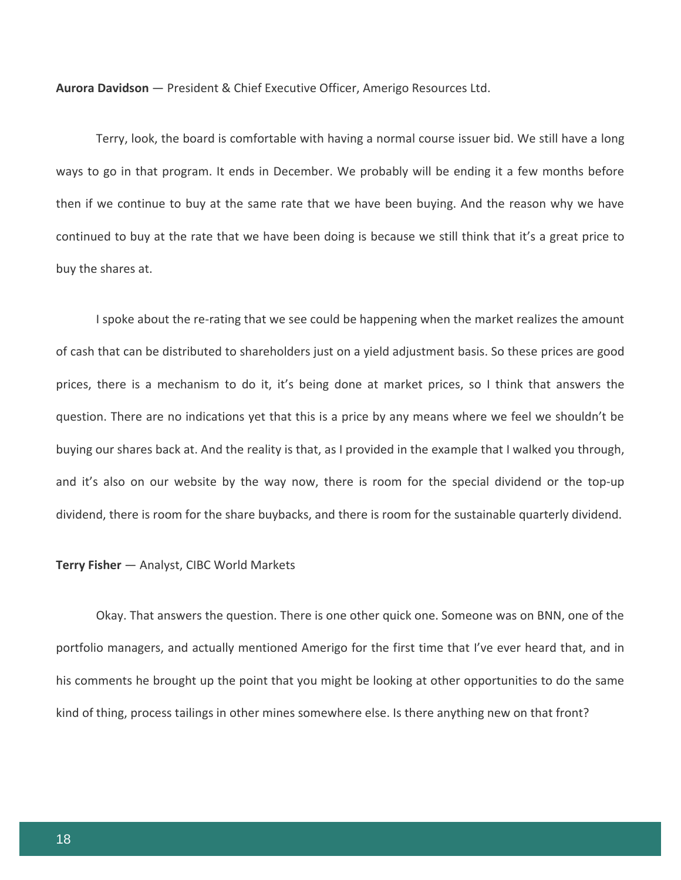Terry, look, the board is comfortable with having a normal course issuer bid. We still have a long ways to go in that program. It ends in December. We probably will be ending it a few months before then if we continue to buy at the same rate that we have been buying. And the reason why we have continued to buy at the rate that we have been doing is because we still think that it's a great price to buy the shares at.

I spoke about the re-rating that we see could be happening when the market realizes the amount of cash that can be distributed to shareholders just on a yield adjustment basis. So these prices are good prices, there is a mechanism to do it, it's being done at market prices, so I think that answers the question. There are no indications yet that this is a price by any means where we feel we shouldn't be buying our shares back at. And the reality is that, as I provided in the example that I walked you through, and it's also on our website by the way now, there is room for the special dividend or the top-up dividend, there is room for the share buybacks, and there is room for the sustainable quarterly dividend.

#### **Terry Fisher** — Analyst, CIBC World Markets

Okay. That answers the question. There is one other quick one. Someone was on BNN, one of the portfolio managers, and actually mentioned Amerigo for the first time that I've ever heard that, and in his comments he brought up the point that you might be looking at other opportunities to do the same kind of thing, process tailings in other mines somewhere else. Is there anything new on that front?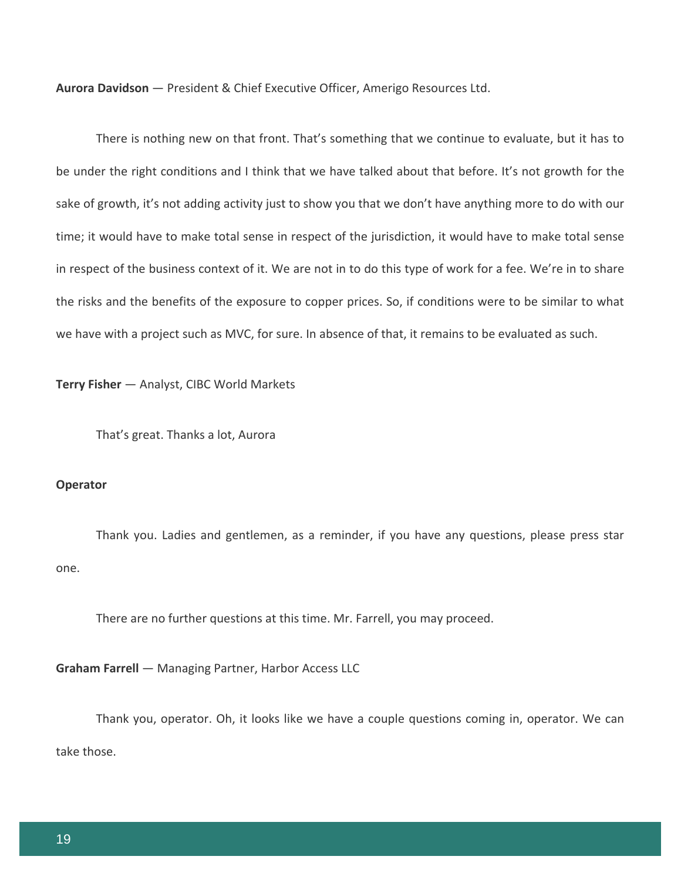There is nothing new on that front. That's something that we continue to evaluate, but it has to be under the right conditions and I think that we have talked about that before. It's not growth for the sake of growth, it's not adding activity just to show you that we don't have anything more to do with our time; it would have to make total sense in respect of the jurisdiction, it would have to make total sense in respect of the business context of it. We are not in to do this type of work for a fee. We're in to share the risks and the benefits of the exposure to copper prices. So, if conditions were to be similar to what we have with a project such as MVC, for sure. In absence of that, it remains to be evaluated as such.

**Terry Fisher** — Analyst, CIBC World Markets

That's great. Thanks a lot, Aurora

# **Operator**

Thank you. Ladies and gentlemen, as a reminder, if you have any questions, please press star one.

There are no further questions at this time. Mr. Farrell, you may proceed.

**Graham Farrell** — Managing Partner, Harbor Access LLC

Thank you, operator. Oh, it looks like we have a couple questions coming in, operator. We can take those.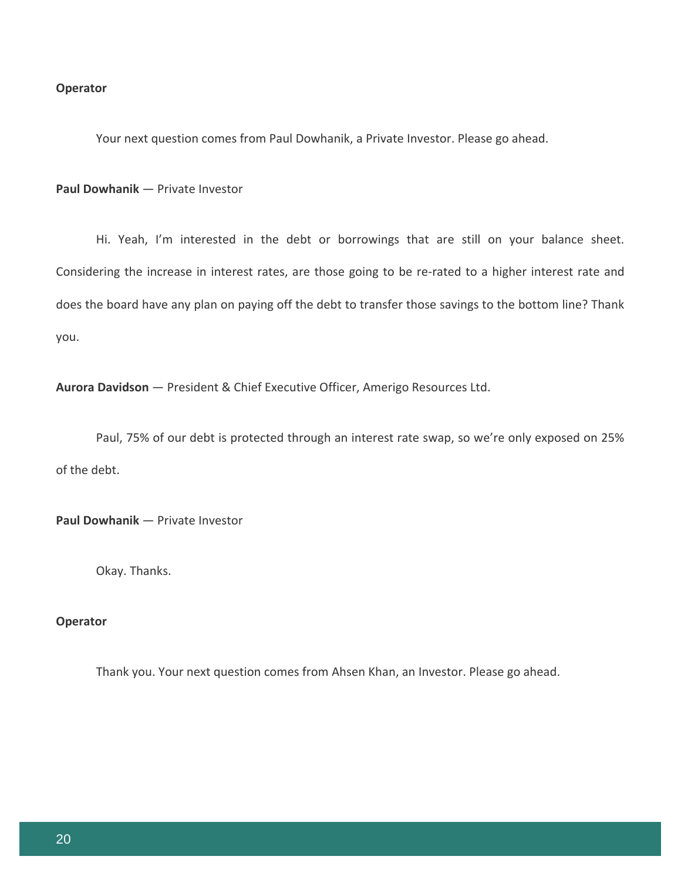# **Operator**

Your next question comes from Paul Dowhanik, a Private Investor. Please go ahead.

**Paul Dowhanik** — Private Investor

Hi. Yeah, I'm interested in the debt or borrowings that are still on your balance sheet. Considering the increase in interest rates, are those going to be re-rated to a higher interest rate and does the board have any plan on paying off the debt to transfer those savings to the bottom line? Thank you.

**Aurora Davidson** — President & Chief Executive Officer, Amerigo Resources Ltd.

Paul, 75% of our debt is protected through an interest rate swap, so we're only exposed on 25% of the debt.

**Paul Dowhanik** — Private Investor

Okay. Thanks.

#### **Operator**

Thank you. Your next question comes from Ahsen Khan, an Investor. Please go ahead.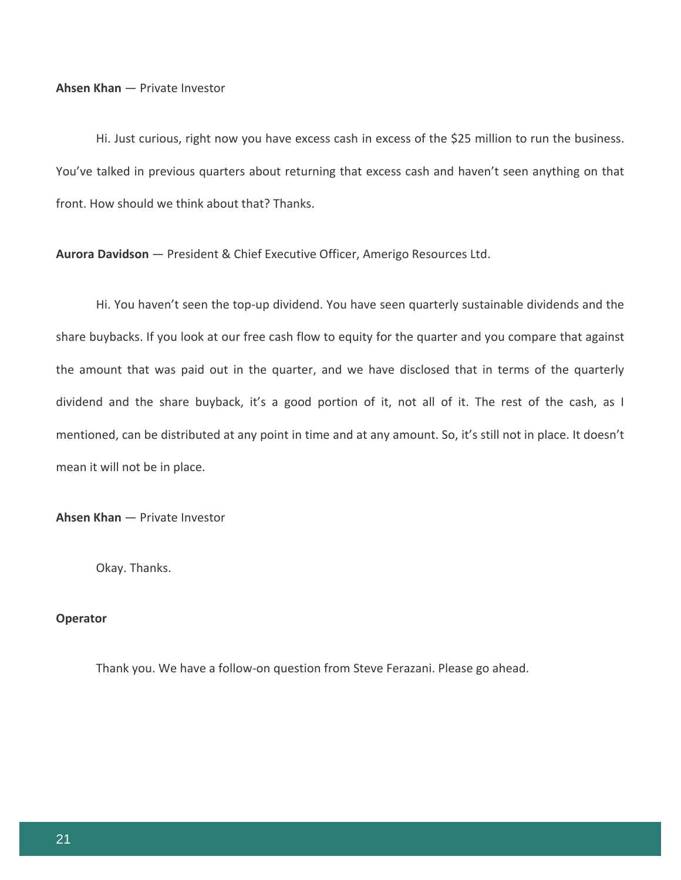#### **Ahsen Khan** — Private Investor

Hi. Just curious, right now you have excess cash in excess of the \$25 million to run the business. You've talked in previous quarters about returning that excess cash and haven't seen anything on that front. How should we think about that? Thanks.

**Aurora Davidson** — President & Chief Executive Officer, Amerigo Resources Ltd.

Hi. You haven't seen the top-up dividend. You have seen quarterly sustainable dividends and the share buybacks. If you look at our free cash flow to equity for the quarter and you compare that against the amount that was paid out in the quarter, and we have disclosed that in terms of the quarterly dividend and the share buyback, it's a good portion of it, not all of it. The rest of the cash, as I mentioned, can be distributed at any point in time and at any amount. So, it's still not in place. It doesn't mean it will not be in place.

**Ahsen Khan** — Private Investor

Okay. Thanks.

### **Operator**

Thank you. We have a follow-on question from Steve Ferazani. Please go ahead.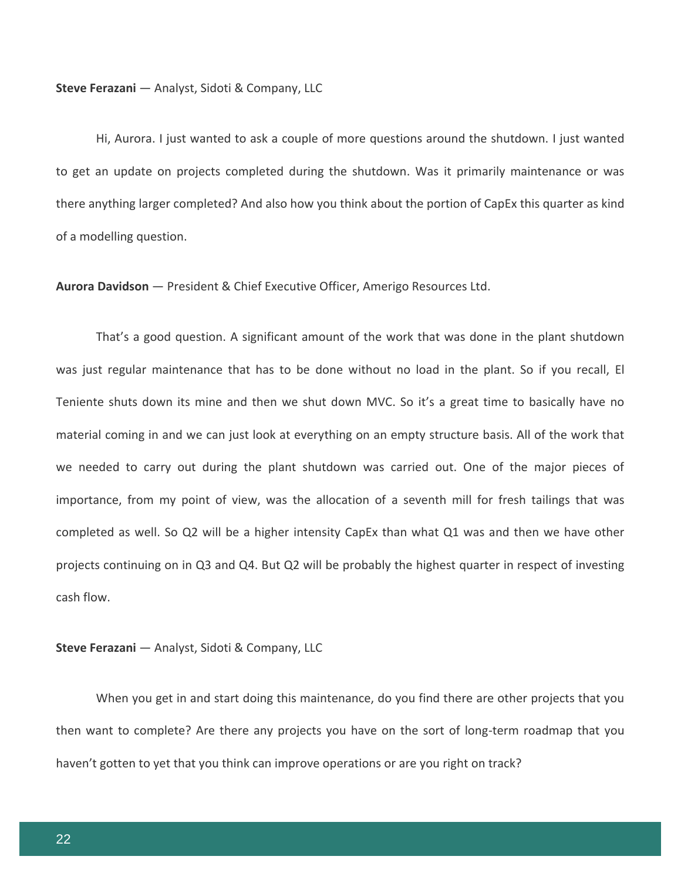Hi, Aurora. I just wanted to ask a couple of more questions around the shutdown. I just wanted to get an update on projects completed during the shutdown. Was it primarily maintenance or was there anything larger completed? And also how you think about the portion of CapEx this quarter as kind of a modelling question.

**Aurora Davidson** — President & Chief Executive Officer, Amerigo Resources Ltd.

That's a good question. A significant amount of the work that was done in the plant shutdown was just regular maintenance that has to be done without no load in the plant. So if you recall, El Teniente shuts down its mine and then we shut down MVC. So it's a great time to basically have no material coming in and we can just look at everything on an empty structure basis. All of the work that we needed to carry out during the plant shutdown was carried out. One of the major pieces of importance, from my point of view, was the allocation of a seventh mill for fresh tailings that was completed as well. So Q2 will be a higher intensity CapEx than what Q1 was and then we have other projects continuing on in Q3 and Q4. But Q2 will be probably the highest quarter in respect of investing cash flow.

### **Steve Ferazani** — Analyst, Sidoti & Company, LLC

When you get in and start doing this maintenance, do you find there are other projects that you then want to complete? Are there any projects you have on the sort of long-term roadmap that you haven't gotten to yet that you think can improve operations or are you right on track?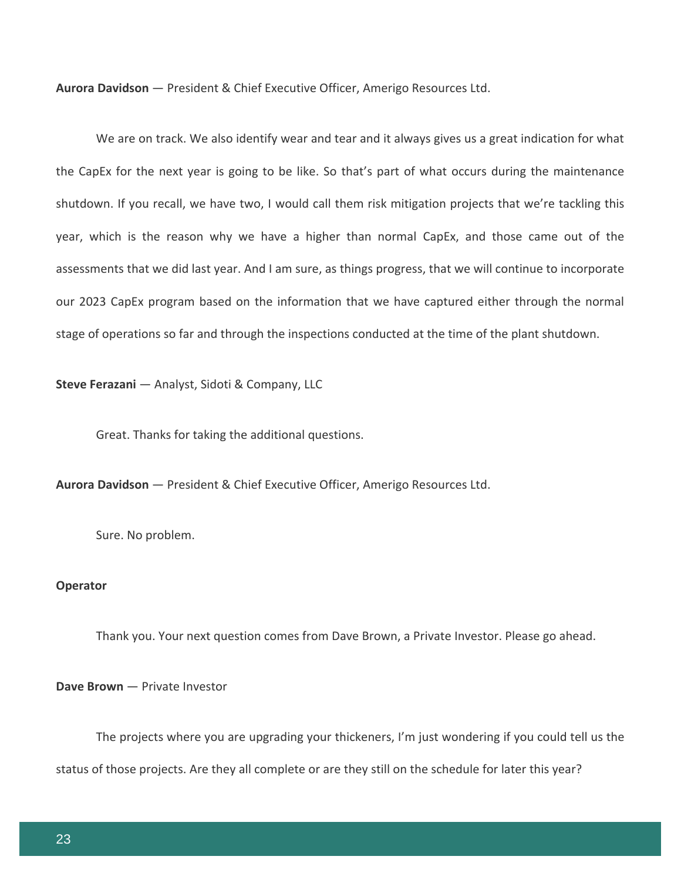We are on track. We also identify wear and tear and it always gives us a great indication for what the CapEx for the next year is going to be like. So that's part of what occurs during the maintenance shutdown. If you recall, we have two, I would call them risk mitigation projects that we're tackling this year, which is the reason why we have a higher than normal CapEx, and those came out of the assessments that we did last year. And I am sure, as things progress, that we will continue to incorporate our 2023 CapEx program based on the information that we have captured either through the normal stage of operations so far and through the inspections conducted at the time of the plant shutdown.

**Steve Ferazani** — Analyst, Sidoti & Company, LLC

Great. Thanks for taking the additional questions.

**Aurora Davidson** — President & Chief Executive Officer, Amerigo Resources Ltd.

Sure. No problem.

# **Operator**

Thank you. Your next question comes from Dave Brown, a Private Investor. Please go ahead.

#### **Dave Brown** — Private Investor

The projects where you are upgrading your thickeners, I'm just wondering if you could tell us the status of those projects. Are they all complete or are they still on the schedule for later this year?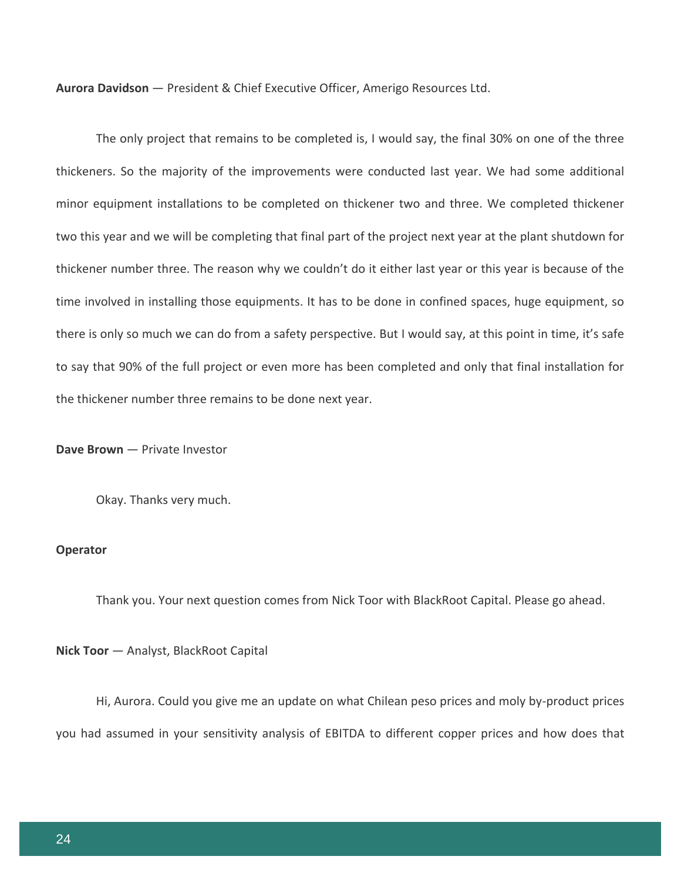The only project that remains to be completed is, I would say, the final 30% on one of the three thickeners. So the majority of the improvements were conducted last year. We had some additional minor equipment installations to be completed on thickener two and three. We completed thickener two this year and we will be completing that final part of the project next year at the plant shutdown for thickener number three. The reason why we couldn't do it either last year or this year is because of the time involved in installing those equipments. It has to be done in confined spaces, huge equipment, so there is only so much we can do from a safety perspective. But I would say, at this point in time, it's safe to say that 90% of the full project or even more has been completed and only that final installation for the thickener number three remains to be done next year.

**Dave Brown** — Private Investor

Okay. Thanks very much.

# **Operator**

Thank you. Your next question comes from Nick Toor with BlackRoot Capital. Please go ahead.

**Nick Toor** — Analyst, BlackRoot Capital

Hi, Aurora. Could you give me an update on what Chilean peso prices and moly by-product prices you had assumed in your sensitivity analysis of EBITDA to different copper prices and how does that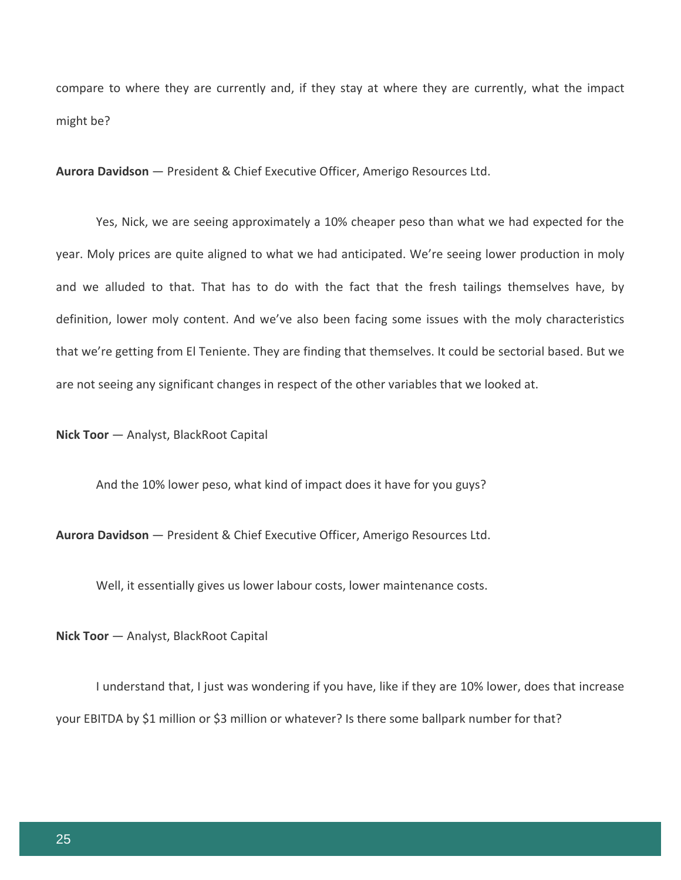compare to where they are currently and, if they stay at where they are currently, what the impact might be?

**Aurora Davidson** — President & Chief Executive Officer, Amerigo Resources Ltd.

Yes, Nick, we are seeing approximately a 10% cheaper peso than what we had expected for the year. Moly prices are quite aligned to what we had anticipated. We're seeing lower production in moly and we alluded to that. That has to do with the fact that the fresh tailings themselves have, by definition, lower moly content. And we've also been facing some issues with the moly characteristics that we're getting from El Teniente. They are finding that themselves. It could be sectorial based. But we are not seeing any significant changes in respect of the other variables that we looked at.

**Nick Toor** — Analyst, BlackRoot Capital

And the 10% lower peso, what kind of impact does it have for you guys?

**Aurora Davidson** — President & Chief Executive Officer, Amerigo Resources Ltd.

Well, it essentially gives us lower labour costs, lower maintenance costs.

**Nick Toor** — Analyst, BlackRoot Capital

I understand that, I just was wondering if you have, like if they are 10% lower, does that increase your EBITDA by \$1 million or \$3 million or whatever? Is there some ballpark number for that?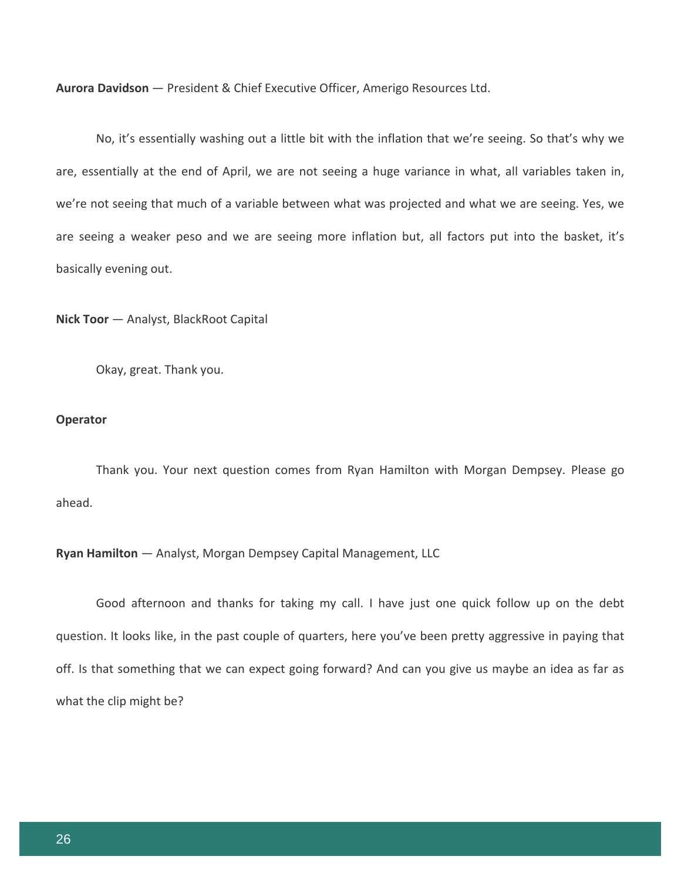No, it's essentially washing out a little bit with the inflation that we're seeing. So that's why we are, essentially at the end of April, we are not seeing a huge variance in what, all variables taken in, we're not seeing that much of a variable between what was projected and what we are seeing. Yes, we are seeing a weaker peso and we are seeing more inflation but, all factors put into the basket, it's basically evening out.

**Nick Toor** — Analyst, BlackRoot Capital

Okay, great. Thank you.

#### **Operator**

Thank you. Your next question comes from Ryan Hamilton with Morgan Dempsey. Please go ahead.

#### **Ryan Hamilton** — Analyst, Morgan Dempsey Capital Management, LLC

Good afternoon and thanks for taking my call. I have just one quick follow up on the debt question. It looks like, in the past couple of quarters, here you've been pretty aggressive in paying that off. Is that something that we can expect going forward? And can you give us maybe an idea as far as what the clip might be?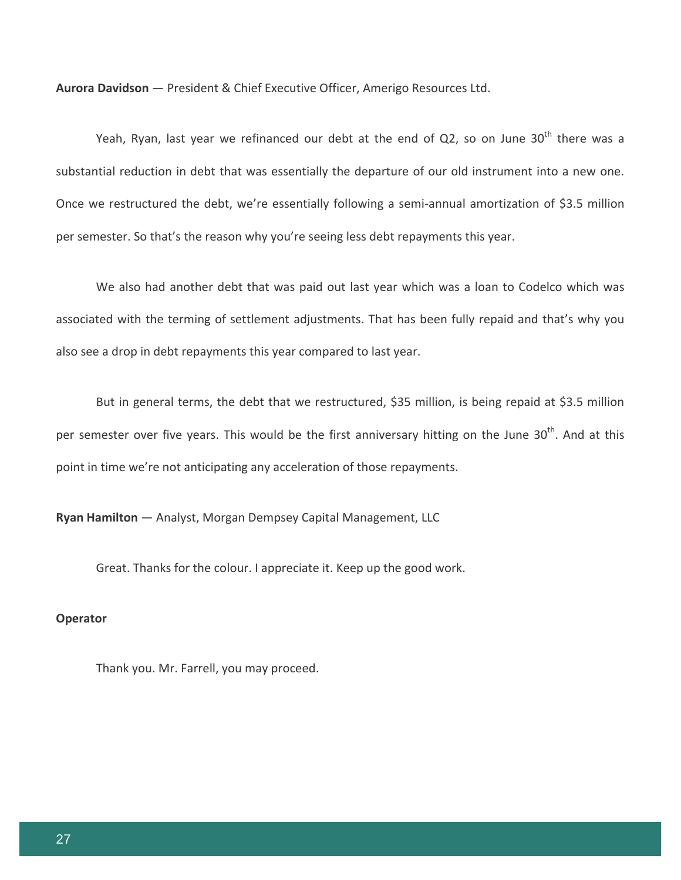Yeah, Ryan, last year we refinanced our debt at the end of Q2, so on June  $30<sup>th</sup>$  there was a substantial reduction in debt that was essentially the departure of our old instrument into a new one. Once we restructured the debt, we're essentially following a semi-annual amortization of \$3.5 million per semester. So that's the reason why you're seeing less debt repayments this year.

We also had another debt that was paid out last year which was a loan to Codelco which was associated with the terming of settlement adjustments. That has been fully repaid and that's why you also see a drop in debt repayments this year compared to last year.

But in general terms, the debt that we restructured, \$35 million, is being repaid at \$3.5 million per semester over five years. This would be the first anniversary hitting on the June 30<sup>th</sup>. And at this point in time we're not anticipating any acceleration of those repayments.

**Ryan Hamilton** — Analyst, Morgan Dempsey Capital Management, LLC

Great. Thanks for the colour. I appreciate it. Keep up the good work.

### **Operator**

Thank you. Mr. Farrell, you may proceed.